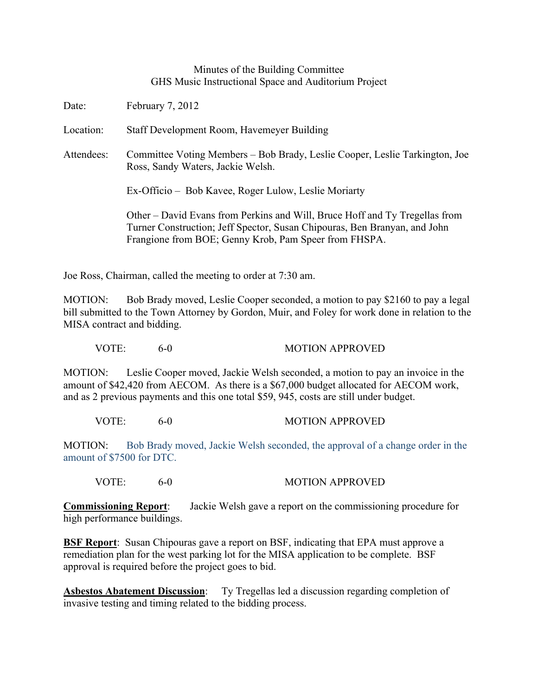## Minutes of the Building Committee GHS Music Instructional Space and Auditorium Project

Date: February 7, 2012

Location: Staff Development Room, Havemeyer Building

Attendees: Committee Voting Members – Bob Brady, Leslie Cooper, Leslie Tarkington, Joe Ross, Sandy Waters, Jackie Welsh.

Ex-Officio – Bob Kavee, Roger Lulow, Leslie Moriarty

Other – David Evans from Perkins and Will, Bruce Hoff and Ty Tregellas from Turner Construction; Jeff Spector, Susan Chipouras, Ben Branyan, and John Frangione from BOE; Genny Krob, Pam Speer from FHSPA.

Joe Ross, Chairman, called the meeting to order at 7:30 am.

MOTION: Bob Brady moved, Leslie Cooper seconded, a motion to pay \$2160 to pay a legal bill submitted to the Town Attorney by Gordon, Muir, and Foley for work done in relation to the MISA contract and bidding.

VOTE: 6-0 MOTION APPROVED

MOTION: Leslie Cooper moved, Jackie Welsh seconded, a motion to pay an invoice in the amount of \$42,420 from AECOM. As there is a \$67,000 budget allocated for AECOM work, and as 2 previous payments and this one total \$59, 945, costs are still under budget.

VOTE: 6-0 MOTION APPROVED

MOTION: Bob Brady moved, Jackie Welsh seconded, the approval of a change order in the amount of \$7500 for DTC.

VOTE: 6-0 MOTION APPROVED

**Commissioning Report**: Jackie Welsh gave a report on the commissioning procedure for high performance buildings.

**BSF Report**: Susan Chipouras gave a report on BSF, indicating that EPA must approve a remediation plan for the west parking lot for the MISA application to be complete. BSF approval is required before the project goes to bid.

**Asbestos Abatement Discussion**: Ty Tregellas led a discussion regarding completion of invasive testing and timing related to the bidding process.